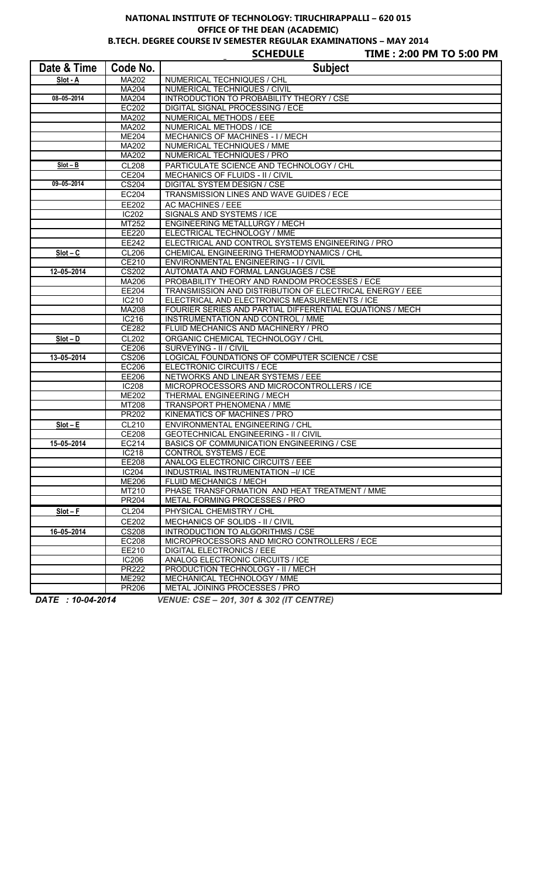## **NATIONAL INSTITUTE OF TECHNOLOGY: TIRUCHIRAPPALLI – 620 015 OFFICE OF THE DEAN (ACADEMIC)**

**B.TECH. DEGREE COURSE IV SEMESTER REGULAR EXAMINATIONS – MAY 2014**

|                  |                | <b>SCHEDULE</b><br>TIME: 2:00 PM TO 5:00 PM                              |
|------------------|----------------|--------------------------------------------------------------------------|
| Date & Time      | Code No.       | <b>Subject</b>                                                           |
| Slot - A         | MA202          | NUMERICAL TECHNIQUES / CHL                                               |
|                  | <b>MA204</b>   | NUMERICAL TECHNIQUES / CIVIL                                             |
| 08-05-2014       | MA204          | INTRODUCTION TO PROBABILITY THEORY / CSE                                 |
|                  | EC202          | <b>DIGITAL SIGNAL PROCESSING / ECE</b>                                   |
|                  | MA202          | NUMERICAL METHODS / EEE                                                  |
|                  | MA202          | NUMERICAL METHODS / ICE                                                  |
|                  | <b>ME204</b>   | MECHANICS OF MACHINES - I / MECH                                         |
|                  | MA202          | NUMERICAL TECHNIQUES / MME                                               |
|                  | MA202          | NUMERICAL TECHNIQUES / PRO                                               |
| $Slot - B$       | <b>CL208</b>   | PARTICULATE SCIENCE AND TECHNOLOGY / CHL                                 |
|                  | CE204          | MECHANICS OF FLUIDS - II / CIVIL                                         |
| $09 - 05 - 2014$ | <b>CS204</b>   | DIGITAL SYSTEM DESIGN / CSE                                              |
|                  | EC204          | TRANSMISSION LINES AND WAVE GUIDES / ECE                                 |
|                  | EE202          | AC MACHINES / EEE                                                        |
|                  | <b>IC202</b>   | SIGNALS AND SYSTEMS / ICE                                                |
|                  | MT252          | ENGINEERING METALLURGY / MECH                                            |
|                  | EE220          | ELECTRICAL TECHNOLOGY / MME                                              |
|                  | EE242          | ELECTRICAL AND CONTROL SYSTEMS ENGINEERING / PRO                         |
| $Slot - C$       | <b>CL206</b>   | CHEMICAL ENGINEERING THERMODYNAMICS / CHL                                |
|                  | CE210          | ENVIRONMENTAL ENGINEERING - I / CIVIL                                    |
| 12-05-2014       | <b>CS202</b>   | AUTOMATA AND FORMAL LANGUAGES / CSE                                      |
|                  | MA206          | PROBABILITY THEORY AND RANDOM PROCESSES / ECE                            |
|                  | EE204          | TRANSMISSION AND DISTRIBUTION OF ELECTRICAL ENERGY / EEE                 |
|                  | IC210          | ELECTRICAL AND ELECTRONICS MEASUREMENTS / ICE                            |
|                  | MA208          | FOURIER SERIES AND PARTIAL DIFFERENTIAL EQUATIONS / MECH                 |
|                  | IC216<br>CE282 | INSTRUMENTATION AND CONTROL / MME<br>FLUID MECHANICS AND MACHINERY / PRO |
|                  |                |                                                                          |
| $Slot - D$       | CL202<br>CE206 | ORGANIC CHEMICAL TECHNOLOGY / CHL                                        |
| 13-05-2014       | CS206          | SURVEYING - II / CIVIL<br>LOGICAL FOUNDATIONS OF COMPUTER SCIENCE / CSE  |
|                  | <b>EC206</b>   | ELECTRONIC CIRCUITS / ECE                                                |
|                  | EE206          | NETWORKS AND LINEAR SYSTEMS / EEE                                        |
|                  | <b>IC208</b>   | MICROPROCESSORS AND MICROCONTROLLERS / ICE                               |
|                  | ME202          | THERMAL ENGINEERING / MECH                                               |
|                  | MT208          | TRANSPORT PHENOMENA / MME                                                |
|                  | PR202          | KINEMATICS OF MACHINES / PRO                                             |
| $Slot - E$       | CL210          | ENVIRONMENTAL ENGINEERING / CHL                                          |
|                  | CE208          | <b>GEOTECHNICAL ENGINEERING - II / CIVIL</b>                             |
| 15-05-2014       | EC214          | BASICS OF COMMUNICATION ENGINEERING / CSE                                |
|                  | <b>IC218</b>   | <b>CONTROL SYSTEMS / ECE</b>                                             |
|                  | EE208          | ANALOG ELECTRONIC CIRCUITS / EEE                                         |
|                  | <b>IC204</b>   | INDUSTRIAL INSTRUMENTATION -I/ ICE                                       |
|                  | <b>ME206</b>   | FLUID MECHANICS / MECH                                                   |
|                  | MT210          | PHASE TRANSFORMATION AND HEAT TREATMENT / MME                            |
|                  | PR204          | METAL FORMING PROCESSES / PRO                                            |
| $Slot - F$       | <b>CL204</b>   | PHYSICAL CHEMISTRY / CHL                                                 |
|                  | CE202          | MECHANICS OF SOLIDS - II / CIVIL                                         |
| 16-05-2014       | <b>CS208</b>   | INTRODUCTION TO ALGORITHMS / CSE                                         |
|                  | EC208          | MICROPROCESSORS AND MICRO CONTROLLERS / ECE                              |
|                  | EE210          | <b>DIGITAL ELECTRONICS / EEE</b>                                         |
|                  | <b>IC206</b>   | ANALOG ELECTRONIC CIRCUITS / ICE                                         |
|                  | <b>PR222</b>   | PRODUCTION TECHNOLOGY - II / MECH                                        |
|                  | ME292          | MECHANICAL TECHNOLOGY / MME                                              |
|                  | PR206          | METAL JOINING PROCESSES / PRO                                            |

*DATE : 10-04-2014 VENUE: CSE – 201, 301 & 302 (IT CENTRE)*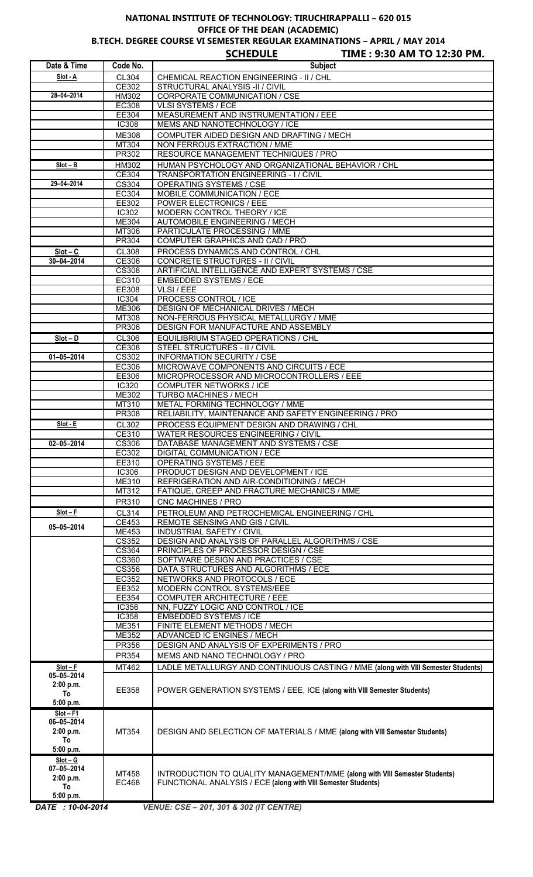## **NATIONAL INSTITUTE OF TECHNOLOGY: TIRUCHIRAPPALLI – 620 015 OFFICE OF THE DEAN (ACADEMIC)**

**B.TECH. DEGREE COURSE VI SEMESTER REGULAR EXAMINATIONS – APRIL / MAY 2014 SCHEDULE TIME : 9:30 AM TO 12:30 PM.**

|                         |                       | <b>SCHEDULE</b><br>TIME : 9:30 AM TO 12:30 PM.                                         |
|-------------------------|-----------------------|----------------------------------------------------------------------------------------|
| Date & Time             | Code No.              | <b>Subject</b>                                                                         |
| Slot - A                | CL304                 | CHEMICAL REACTION ENGINEERING - II / CHL                                               |
|                         | CE302                 | STRUCTURAL ANALYSIS -II / CIVIL                                                        |
| 28-04-2014              | HM302                 | CORPORATE COMMUNICATION / CSE                                                          |
|                         | EC308<br>EE304        | <b>VLSI SYSTEMS / ECE</b><br>MEASUREMENT AND INSTRUMENTATION / EEE                     |
|                         | <b>IC308</b>          | MEMS AND NANOTECHNOLOGY / ICE                                                          |
|                         | ME308                 | COMPUTER AIDED DESIGN AND DRAFTING / MECH                                              |
|                         | MT304                 | NON FERROUS EXTRACTION / MME                                                           |
|                         | PR302                 | RESOURCE MANAGEMENT TECHNIQUES / PRO                                                   |
| $Slot - B$              | HM302                 | HUMAN PSYCHOLOGY AND ORGANIZATIONAL BEHAVIOR / CHL                                     |
|                         | CE304                 | <b>TRANSPORTATION ENGINEERING - I / CIVIL</b>                                          |
| 29-04-2014              | <b>CS304</b>          | <b>OPERATING SYSTEMS / CSE</b>                                                         |
|                         | EC304                 | MOBILE COMMUNICATION / ECE                                                             |
|                         | EE302                 | <b>POWER ELECTRONICS / EEE</b>                                                         |
|                         | IC302                 | MODERN CONTROL THEORY / ICE                                                            |
|                         | ME304                 | AUTOMOBILE ENGINEERING / MECH                                                          |
|                         | MT306                 | PARTICULATE PROCESSING / MME                                                           |
|                         | PR304                 | COMPUTER GRAPHICS AND CAD / PRO                                                        |
| $Slot - C$              | <b>CL308</b>          | PROCESS DYNAMICS AND CONTROL / CHL                                                     |
| $30 - 04 - 2014$        | CE306<br><b>CS308</b> | CONCRETE STRUCTURES - II / CIVIL<br>ARTIFICIAL INTELLIGENCE AND EXPERT SYSTEMS / CSE   |
|                         | EC310                 | <b>EMBEDDED SYSTEMS / ECE</b>                                                          |
|                         | EE308                 | VLSI / EEE                                                                             |
|                         | IC304                 | PROCESS CONTROL / ICE                                                                  |
|                         | ME306                 | DESIGN OF MECHANICAL DRIVES / MECH                                                     |
|                         | MT308                 | NON-FERROUS PHYSICAL METALLURGY / MME                                                  |
|                         | PR306                 | DESIGN FOR MANUFACTURE AND ASSEMBLY                                                    |
| $Slot - D$              | CL306                 | EQUILIBRIUM STAGED OPERATIONS / CHL                                                    |
|                         | <b>CE308</b>          | <b>STEEL STRUCTURES - II / CIVIL</b>                                                   |
| $01 - 05 - 2014$        | <b>CS302</b>          | <b>INFORMATION SECURITY / CSE</b>                                                      |
|                         | EC306                 | MICROWAVE COMPONENTS AND CIRCUITS / ECE                                                |
|                         | <b>EE306</b>          | MICROPROCESSOR AND MICROCONTROLLERS / EEE                                              |
|                         | IC320<br>ME302        | <b>COMPUTER NETWORKS / ICE</b><br>TURBO MACHINES / MECH                                |
|                         | MT310                 | METAL FORMING TECHNOLOGY / MME                                                         |
|                         | PR308                 | RELIABILITY, MAINTENANCE AND SAFETY ENGINEERING / PRO                                  |
| Slot - E                | CL302                 | PROCESS EQUIPMENT DESIGN AND DRAWING / CHL                                             |
|                         | CE310                 | <b>WATER RESOURCES ENGINEERING / CIVIL</b>                                             |
| $02 - 05 - 2014$        | CS306                 | DATABASE MANAGEMENT AND SYSTEMS / CSE                                                  |
|                         | EC302                 | DIGITAL COMMUNICATION / ECE                                                            |
|                         | EE310                 | OPERATING SYSTEMS / EEE                                                                |
|                         | <b>IC306</b>          | PRODUCT DESIGN AND DEVELOPMENT / ICE                                                   |
|                         | ME310                 | REFRIGERATION AND AIR-CONDITIONING / MECH                                              |
|                         | MT312                 | FATIQUE, CREEP AND FRACTURE MECHANICS / MME                                            |
|                         | PR310                 | CNC MACHINES / PRO                                                                     |
| $Slot - F$              | CL314<br><b>CE453</b> | PETROLEUM AND PETROCHEMICAL ENGINEERING / CHL<br><b>REMOTE SENSING AND GIS / CIVIL</b> |
| 05-05-2014              | ME453                 | <b>INDUSTRIAL SAFETY / CIVIL</b>                                                       |
|                         | <b>CS352</b>          | DESIGN AND ANALYSIS OF PARALLEL ALGORITHMS / CSE                                       |
|                         | CS364                 | PRINCIPLES OF PROCESSOR DESIGN / CSE                                                   |
|                         | <b>CS360</b>          | SOFTWARE DESIGN AND PRACTICES / CSE                                                    |
|                         | CS356                 | DATA STRUCTURES AND ALGORITHMS / ECE                                                   |
|                         | EC352                 | NETWORKS AND PROTOCOLS / ECE                                                           |
|                         | EE352                 | MODERN CONTROL SYSTEMS/EEE                                                             |
|                         | EE354                 | COMPUTER ARCHITECTURE / EEE                                                            |
|                         | IC356                 | NN, FUZZY LOGIC AND CONTROL / ICE                                                      |
|                         | IC358<br><b>ME351</b> | <b>EMBEDDED SYSTEMS / ICE</b><br>FINITE ELEMENT METHODS / MECH                         |
|                         | <b>ME352</b>          | ADVANCED IC ENGINES / MECH                                                             |
|                         | PR356                 | DESIGN AND ANALYSIS OF EXPERIMENTS / PRO                                               |
|                         | PR354                 | MEMS AND NANO TECHNOLOGY / PRO                                                         |
| $Slot - F$              | MT462                 | LADLE METALLURGY AND CONTINUOUS CASTING / MME (along with VIII Semester Students)      |
| 05-05-2014              |                       |                                                                                        |
| 2:00 p.m.               |                       |                                                                                        |
| To                      | EE358                 | POWER GENERATION SYSTEMS / EEE, ICE (along with VIII Semester Students)                |
| 5:00 p.m.               |                       |                                                                                        |
| $Slot - F1$             |                       |                                                                                        |
| 06-05-2014<br>2:00 p.m. | MT354                 | DESIGN AND SELECTION OF MATERIALS / MME (along with VIII Semester Students)            |
| To                      |                       |                                                                                        |
| 5:00 p.m.               |                       |                                                                                        |
| $Slot - G$              |                       |                                                                                        |
| $07 - 05 - 2014$        | MT458                 | INTRODUCTION TO QUALITY MANAGEMENT/MME (along with VIII Semester Students)             |
| 2:00 p.m.               | EC468                 | FUNCTIONAL ANALYSIS / ECE (along with VIII Semester Students)                          |
| To                      |                       |                                                                                        |
| 5:00 p.m.               |                       |                                                                                        |